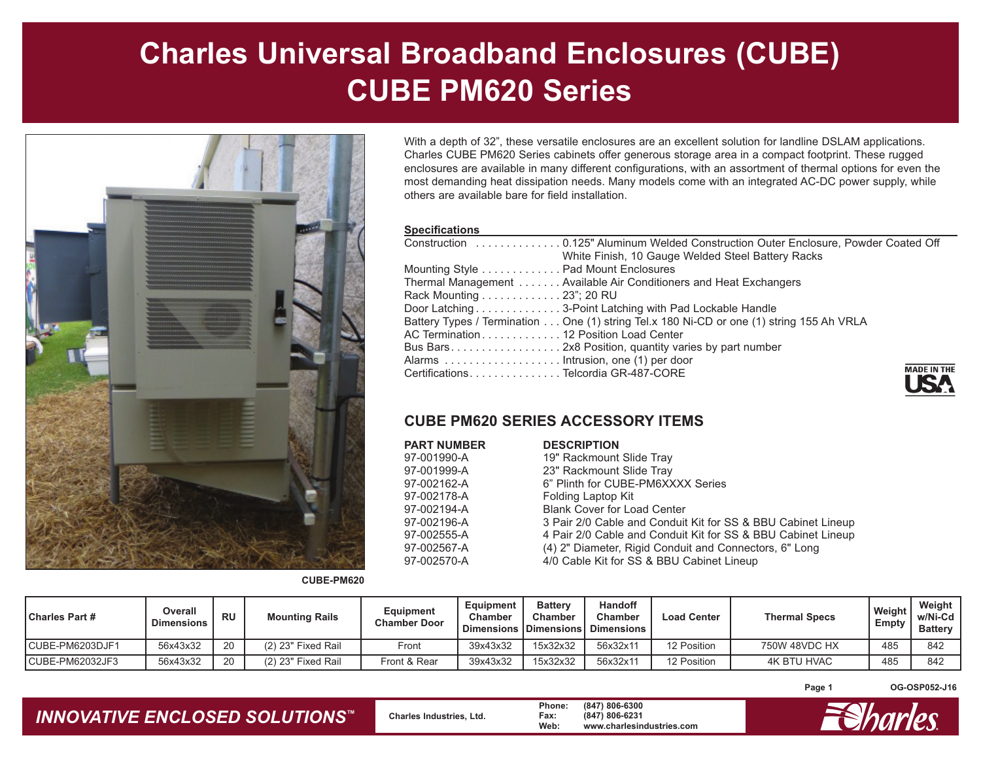# **Charles Universal Broadband Enclosures (CUBE) CUBE PM620 Series**



With a depth of 32", these versatile enclosures are an excellent solution for landline DSLAM applications. Charles CUBE PM620 Series cabinets offer generous storage area in a compact footprint. These rugged enclosures are available in many different configurations, with an assortment of thermal options for even the most demanding heat dissipation needs. Many models come with an integrated AC-DC power supply, while others are available bare for field installation.

#### **Specifications**

| White Finish, 10 Gauge Welded Steel Battery Racks                                        |                   |
|------------------------------------------------------------------------------------------|-------------------|
| Mounting Style Pad Mount Enclosures                                                      |                   |
| Thermal Management Available Air Conditioners and Heat Exchangers                        |                   |
| Rack Mounting 23"; 20 RU                                                                 |                   |
| Door Latching 3-Point Latching with Pad Lockable Handle                                  |                   |
| Battery Types / Termination One (1) string Tel.x 180 Ni-CD or one (1) string 155 Ah VRLA |                   |
| AC Termination 12 Position Load Center                                                   |                   |
|                                                                                          |                   |
|                                                                                          |                   |
| CertificationsTelcordia GR-487-CORE                                                      | <b>MADE IN TH</b> |

### **CUBE PM620 SERIES ACCESSORY ITEMS**

| PART NUMBER | <b>DESCRIPTION</b>                                           |
|-------------|--------------------------------------------------------------|
| 97-001990-A | 19" Rackmount Slide Tray                                     |
| 97-001999-A | 23" Rackmount Slide Tray                                     |
| 97-002162-A | 6" Plinth for CUBE-PM6XXXX Series                            |
| 97-002178-A | Folding Laptop Kit                                           |
| 97-002194-A | <b>Blank Cover for Load Center</b>                           |
| 97-002196-A | 3 Pair 2/0 Cable and Conduit Kit for SS & BBU Cabinet Lineup |
| 97-002555-A | 4 Pair 2/0 Cable and Conduit Kit for SS & BBU Cabinet Lineup |
| 97-002567-A | (4) 2" Diameter, Rigid Conduit and Connectors, 6" Long       |
| 97-002570-A | 4/0 Cable Kit for SS & BBU Cabinet Lineup                    |
|             |                                                              |

**CUBE-PM620**

**Page 1 OG-OSP052-J16**

## *INNOVATIVE ENCLOSED SOLUTIONS ™*

Charles Part # Part | Dimensions | RU | Mounting Rails | Equipment | Equipment Battery | Handoff | Load Center<br>| Dimensions | Dimensions | Dimensions | Dimensions | Dimensions | Dimensions | Dimensions | Dimensions | Dimen

CUBE-PM6203DJF1 56x43x32 20 (2) 23" Fixed Rail Front 39x43x32 15x32x32 56x32x11 12 Position 750W 48VDC HX 485 842 CUBE-PM62032JF3 | 56x43x32 | 20 | (2) 23" Fixed Rail | Front & Rear | 39x43x32 | 15x32x32 | 56x32x11 | 12 Position | 4K BTU HVAC | 485 | 842

> **Charles Industries, Ltd. Phone: (847) 806-6300 Fax: (847) 806-6231 Web: www.charlesindustries.com**